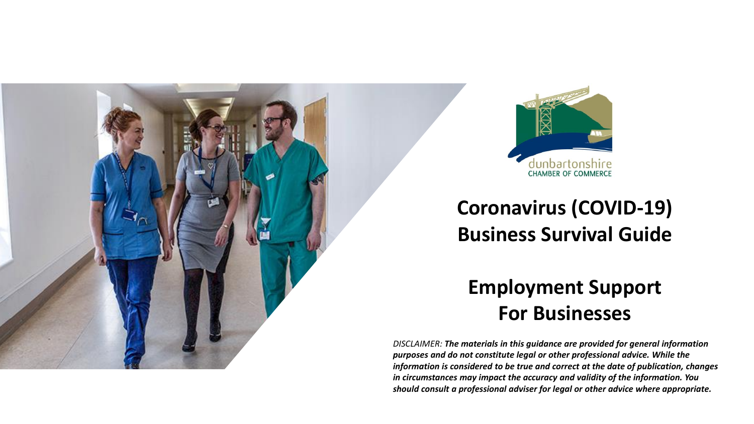



### **Coronavirus (COVID-19) Business Survival Guide**

### **Employment Support For Businesses**

*DISCLAIMER: The materials in this guidance are provided for general information purposes and do not constitute legal or other professional advice. While the information is considered to be true and correct at the date of publication, changes in circumstances may impact the accuracy and validity of the information. You should consult a professional adviser for legal or other advice where appropriate.*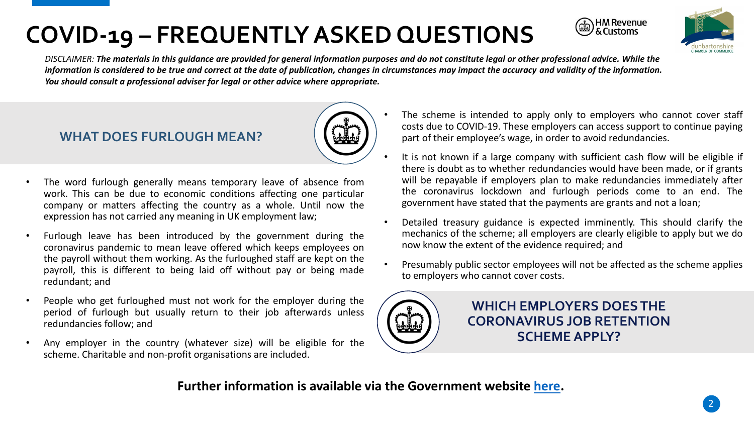



*DISCLAIMER: The materials in this guidance are provided for general information purposes and do not constitute legal or other professional advice. While the information is considered to be true and correct at the date of publication, changes in circumstances may impact the accuracy and validity of the information. You should consult a professional adviser for legal or other advice where appropriate.*

#### **WHAT DOES FURLOUGH MEAN?**



- The word furlough generally means temporary leave of absence from work. This can be due to economic conditions affecting one particular company or matters affecting the country as a whole. Until now the expression has not carried any meaning in UK employment law;
- Furlough leave has been introduced by the government during the coronavirus pandemic to mean leave offered which keeps employees on the payroll without them working. As the furloughed staff are kept on the payroll, this is different to being laid off without pay or being made redundant; and
- People who get furloughed must not work for the employer during the period of furlough but usually return to their job afterwards unless redundancies follow; and
- Any employer in the country (whatever size) will be eligible for the scheme. Charitable and non-profit organisations are included.
- The scheme is intended to apply only to employers who cannot cover staff costs due to COVID-19. These employers can access support to continue paying part of their employee's wage, in order to avoid redundancies.
- It is not known if a large company with sufficient cash flow will be eligible if there is doubt as to whether redundancies would have been made, or if grants will be repayable if employers plan to make redundancies immediately after the coronavirus lockdown and furlough periods come to an end. The government have stated that the payments are grants and not a loan;
- Detailed treasury guidance is expected imminently. This should clarify the mechanics of the scheme; all employers are clearly eligible to apply but we do now know the extent of the evidence required; and
- Presumably public sector employees will not be affected as the scheme applies to employers who cannot cover costs.



**WHICH EMPLOYERS DOES THE CORONAVIRUS JOB RETENTION SCHEME APPLY?**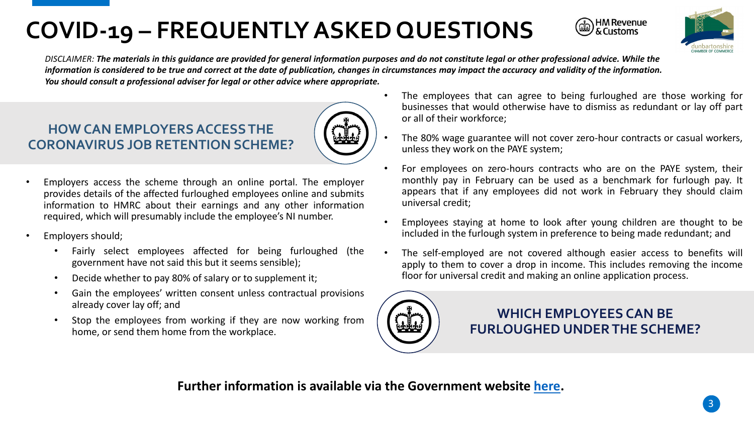



DISCLAIMER: The materials in this guidance are provided for general information purposes and do not constitute legal or other professional advice. While the *information is considered to be true and correct at the date of publication, changes in circumstances may impact the accuracy and validity of the information. You should consult a professional adviser for legal or other advice where appropriate.*

### **HOW CAN EMPLOYERS ACCESS THE CORONAVIRUS JOB RETENTION SCHEME?**



- Employers access the scheme through an online portal. The employer provides details of the affected furloughed employees online and submits information to HMRC about their earnings and any other information required, which will presumably include the employee's NI number.
- Employers should;
	- Fairly select employees affected for being furloughed (the government have not said this but it seems sensible);
	- Decide whether to pay 80% of salary or to supplement it;
	- Gain the employees' written consent unless contractual provisions already cover lay off; and
	- Stop the employees from working if they are now working from home, or send them home from the workplace.
- The employees that can agree to being furloughed are those working for businesses that would otherwise have to dismiss as redundant or lay off part or all of their workforce;
- The 80% wage guarantee will not cover zero-hour contracts or casual workers, unless they work on the PAYE system;
- For employees on zero-hours contracts who are on the PAYE system, their monthly pay in February can be used as a benchmark for furlough pay. It appears that if any employees did not work in February they should claim universal credit;
- Employees staying at home to look after young children are thought to be included in the furlough system in preference to being made redundant; and
- The self-employed are not covered although easier access to benefits will apply to them to cover a drop in income. This includes removing the income floor for universal credit and making an online application process.



**WHICH EMPLOYEES CAN BE FURLOUGHED UNDER THE SCHEME?**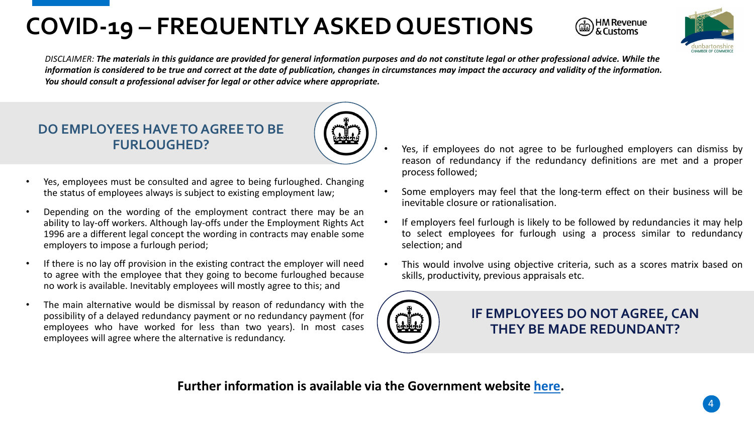



*DISCLAIMER: The materials in this guidance are provided for general information purposes and do not constitute legal or other professional advice. While the information is considered to be true and correct at the date of publication, changes in circumstances may impact the accuracy and validity of the information. You should consult a professional adviser for legal or other advice where appropriate.*

# **DO EMPLOYEES HAVE TO AGREE TO BE**



- Depending on the wording of the employment contract there may be an ability to lay-off workers. Although lay-offs under the Employment Rights Act 1996 are a different legal concept the wording in contracts may enable some employers to impose a furlough period;
- If there is no lay off provision in the existing contract the employer will need to agree with the employee that they going to become furloughed because no work is available. Inevitably employees will mostly agree to this; and
- The main alternative would be dismissal by reason of redundancy with the possibility of a delayed redundancy payment or no redundancy payment (for employees who have worked for less than two years). In most cases employees will agree where the alternative is redundancy.
- **FURLOUGHED?** Yes, if employees do not agree to be furloughed employers can dismiss by reason of redundancy if the redundancy definitions are met and a proper process followed;
	- Some employers may feel that the long-term effect on their business will be inevitable closure or rationalisation.
	- If employers feel furlough is likely to be followed by redundancies it may help to select employees for furlough using a process similar to redundancy selection; and
	- This would involve using objective criteria, such as a scores matrix based on skills, productivity, previous appraisals etc.



**IF EMPLOYEES DO NOT AGREE, CAN THEY BE MADE REDUNDANT?**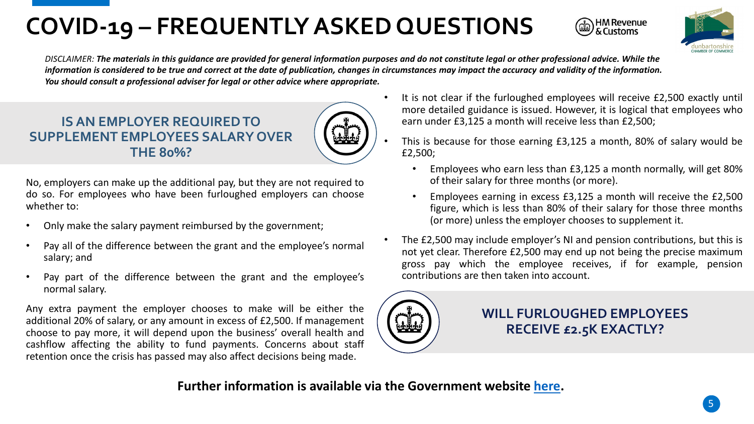



*DISCLAIMER: The materials in this guidance are provided for general information purposes and do not constitute legal or other professional advice. While the information is considered to be true and correct at the date of publication, changes in circumstances may impact the accuracy and validity of the information. You should consult a professional adviser for legal or other advice where appropriate.*

#### **IS AN EMPLOYER REQUIRED TO SUPPLEMENT EMPLOYEES SALARY OVER THE 80%?**

No, employers can make up the additional pay, but they are not required to do so. For employees who have been furloughed employers can choose whether to:

- Only make the salary payment reimbursed by the government;
- Pay all of the difference between the grant and the employee's normal salary; and
- Pay part of the difference between the grant and the employee's normal salary.

Any extra payment the employer chooses to make will be either the additional 20% of salary, or any amount in excess of £2,500. If management choose to pay more, it will depend upon the business' overall health and cashflow affecting the ability to fund payments. Concerns about staff retention once the crisis has passed may also affect decisions being made.

- It is not clear if the furloughed employees will receive £2,500 exactly until more detailed guidance is issued. However, it is logical that employees who earn under £3,125 a month will receive less than £2,500;
	- This is because for those earning £3,125 a month, 80% of salary would be £2,500;
		- Employees who earn less than £3,125 a month normally, will get 80% of their salary for three months (or more).
		- Employees earning in excess £3,125 a month will receive the £2,500 figure, which is less than 80% of their salary for those three months (or more) unless the employer chooses to supplement it.
- The £2,500 may include employer's NI and pension contributions, but this is not yet clear. Therefore £2,500 may end up not being the precise maximum gross pay which the employee receives, if for example, pension contributions are then taken into account.



**WILL FURLOUGHED EMPLOYEES RECEIVE £2.5K EXACTLY?**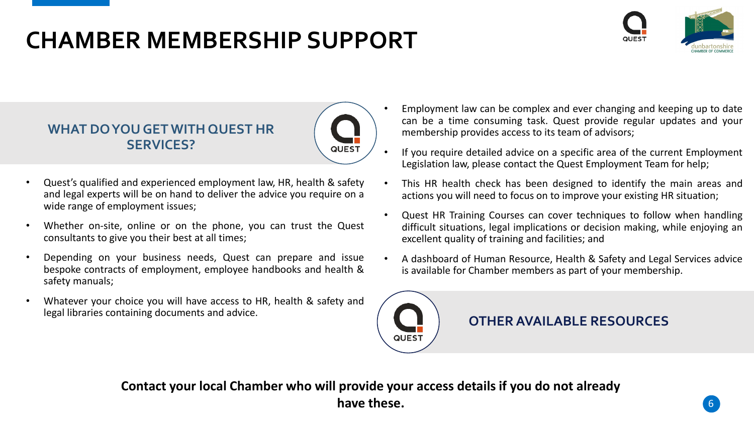### **CHAMBER MEMBERSHIP SUPPORT**



#### **WHAT DO YOU GET WITH QUEST HR SERVICES?**



- Quest's qualified and experienced employment law, HR, health & safety and legal experts will be on hand to deliver the advice you require on a wide range of employment issues;
- Whether on-site, online or on the phone, you can trust the Quest consultants to give you their best at all times;
- Depending on your business needs, Quest can prepare and issue bespoke contracts of employment, employee handbooks and health & safety manuals;
- Whatever your choice you will have access to HR, health & safety and legal libraries containing documents and advice.
- Employment law can be complex and ever changing and keeping up to date can be a time consuming task. Quest provide regular updates and your membership provides access to its team of advisors;
- If you require detailed advice on a specific area of the current Employment Legislation law, please contact the Quest Employment Team for help;
- This HR health check has been designed to identify the main areas and actions you will need to focus on to improve your existing HR situation;
- Quest HR Training Courses can cover techniques to follow when handling difficult situations, legal implications or decision making, while enjoying an excellent quality of training and facilities; and
- A dashboard of Human Resource, Health & Safety and Legal Services advice is available for Chamber members as part of your membership.



**OTHER AVAILABLE RESOURCES**

**Contact your local Chamber who will provide your access details if you do not already**  have these.